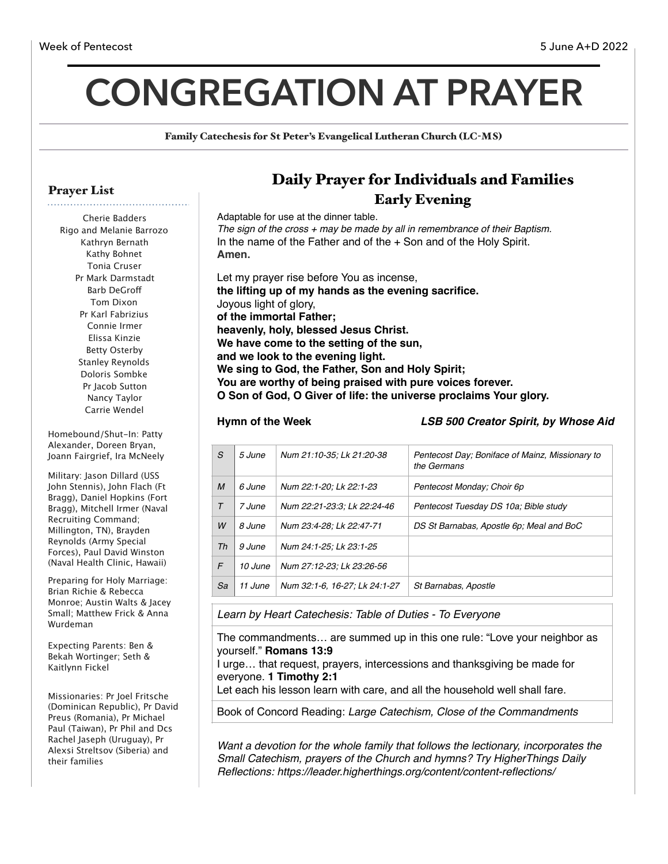# **CONGREGATION AT PRAYER**

Family Catechesis for St Peter's Evangelical Lutheran Church (LC-MS)

### Prayer List

Cherie Badders Rigo and Melanie Barrozo Kathryn Bernath Kathy Bohnet Tonia Cruser Pr Mark Darmstadt Barb DeGrof Tom Dixon Pr Karl Fabrizius Connie Irmer Elissa Kinzie Betty Osterby Stanley Reynolds Doloris Sombke Pr Jacob Sutton Nancy Taylor Carrie Wendel

Homebound/Shut-In: Patty Alexander, Doreen Bryan, Joann Fairgrief, Ira McNeely

Military: Jason Dillard (USS John Stennis), John Flach (Ft Bragg), Daniel Hopkins (Fort Bragg), Mitchell Irmer (Naval Recruiting Command; Millington, TN), Brayden Reynolds (Army Special Forces), Paul David Winston (Naval Health Clinic, Hawaii)

Preparing for Holy Marriage: Brian Richie & Rebecca Monroe; Austin Walts & Jacey Small; Matthew Frick & Anna Wurdeman

Expecting Parents: Ben & Bekah Wortinger; Seth & Kaitlynn Fickel

Missionaries: Pr Joel Fritsche (Dominican Republic), Pr David Preus (Romania), Pr Michael Paul (Taiwan), Pr Phil and Dcs Rachel Jaseph (Uruguay), Pr Alexsi Streltsov (Siberia) and their families

# Daily Prayer for Individuals and Families Early Evening

Adaptable for use at the dinner table. *The sign of the cross + may be made by all in remembrance of their Baptism.* In the name of the Father and of the + Son and of the Holy Spirit. **Amen.** Let my prayer rise before You as incense, **the lifting up of my hands as the evening sacrifice.** Joyous light of glory, **of the immortal Father; heavenly, holy, blessed Jesus Christ. We have come to the setting of the sun, and we look to the evening light. We sing to God, the Father, Son and Holy Spirit;**

**You are worthy of being praised with pure voices forever.**

**O Son of God, O Giver of life: the universe proclaims Your glory.**

**Hymn of the Week** *LSB 500 Creator Spirit, by Whose Aid*

| S                | 5 June  | Num 21:10-35; Lk 21:20-38     | Pentecost Day; Boniface of Mainz, Missionary to<br>the Germans |
|------------------|---------|-------------------------------|----------------------------------------------------------------|
| $\boldsymbol{M}$ | 6 June  | Num 22:1-20; Lk 22:1-23       | Pentecost Monday; Choir 6p                                     |
| $\tau$           | 7 June  | Num 22:21-23:3: Lk 22:24-46   | Pentecost Tuesday DS 10a; Bible study                          |
| W                | 8 June  | Num 23:4-28: Lk 22:47-71      | DS St Barnabas, Apostle 6p; Meal and BoC                       |
| Th               | 9 June  | Num 24:1-25; Lk 23:1-25       |                                                                |
| F                | 10 June | Num 27:12-23; Lk 23:26-56     |                                                                |
| Sa               | 11 June | Num 32:1-6, 16-27; Lk 24:1-27 | St Barnabas, Apostle                                           |
|                  |         |                               |                                                                |

*Learn by Heart Catechesis: Table of Duties - To Everyone* 

The commandments… are summed up in this one rule: "Love your neighbor as yourself." **Romans 13:9** 

I urge… that request, prayers, intercessions and thanksgiving be made for everyone. **1 Timothy 2:1**

Let each his lesson learn with care, and all the household well shall fare.

Book of Concord Reading: *Large Catechism, Close of the Commandments*

*Want a devotion for the whole family that follows the lectionary, incorporates the Small Catechism, prayers of the Church and hymns? Try HigherThings Daily Reflections: https://leader.higherthings.org/content/content-reflections/*